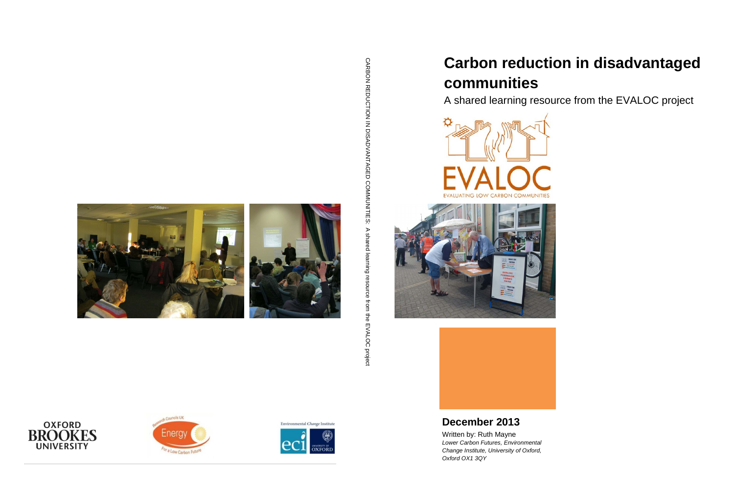# **Carbon reduction in disadvantaged communities**

A shared learning resource from the EVALOC project





## **December 2013**

CARBON REDUCTION IN DISADVANTAGED COMNUNITIES: A shared learning resource trom the EVALOC project CARBON REDUCTION IN DISADVANTAGED COMMUNITIES: A shared learning resource from the EVALOC project







Environmental Change Institute NIVERSITY OF<br>DXFORI

Written by: Ruth Mayne *Lower Carbon Futures, Environmental Change Institute, University of Oxford, Oxford OX1 3QY*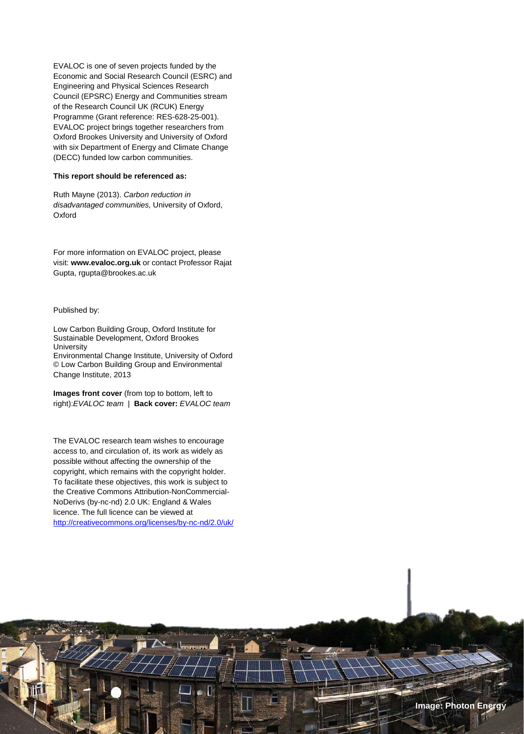EVALOC is one of seven projects funded by the Economic and Social Research Council (ESRC) and Engineering and Physical Sciences Research Council (EPSRC) Energy and Communities stream of the Research Council UK (RCUK) Energy Programme (Grant reference: RES-628-25-001). EVALOC project brings together researchers from Oxford Brookes University and University of Oxford with six Department of Energy and Climate Change (DECC) funded low carbon communities.

#### **This report should be referenced as:**

Ruth Mayne (2013). *Carbon reduction in disadvantaged communities,* University of Oxford, Oxford

For more information on EVALOC project, please visit: **www.evaloc.org.uk** or contact Professor Rajat Gupta, rgupta@brookes.ac.uk

#### Published by:

i **|** Page

Low Carbon Building Group, Oxford Institute for Sustainable Development, Oxford Brookes **University** Environmental Change Institute, University of Oxford © Low Carbon Building Group and Environmental Change Institute, 2013

**Images front cover** (from top to bottom, left to right):*EVALOC team* | **Back cover:** *EVALOC team*

The EVALOC research team wishes to encourage access to, and circulation of, its work as widely as possible without affecting the ownership of the copyright, which remains with the copyright holder. To facilitate these objectives, this work is subject to the Creative Commons Attribution-NonCommercial-NoDerivs (by-nc-nd) 2.0 UK: England & Wales licence. The full licence can be viewed at <http://creativecommons.org/licenses/by-nc-nd/2.0/uk/>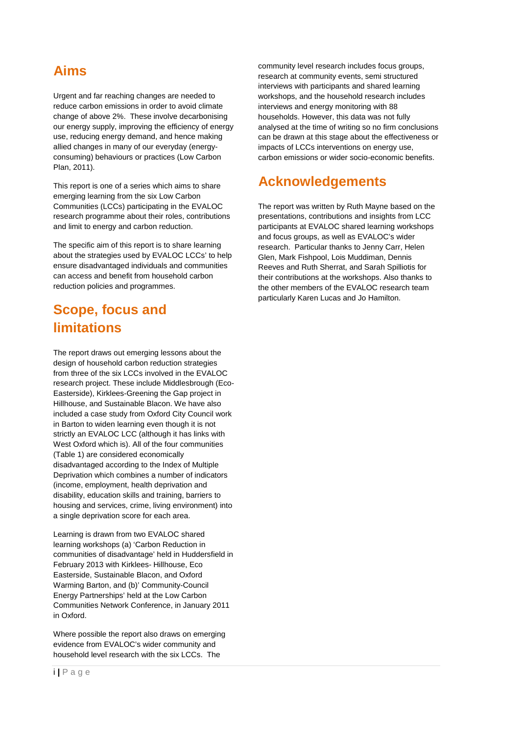### <span id="page-2-0"></span>**Aims**

Urgent and far reaching changes are needed to reduce carbon emissions in order to avoid climate change of above 2%. These involve decarbonising our energy supply, improving the efficiency of energy use, reducing energy demand, and hence making allied changes in many of our everyday (energyconsuming) behaviours or practices (Low Carbon Plan, 2011).

This report is one of a series which aims to share emerging learning from the six Low Carbon Communities (LCCs) participating in the EVALOC research programme about their roles, contributions and limit to energy and carbon reduction.

The specific aim of this report is to share learning about the strategies used by EVALOC LCCs' to help ensure disadvantaged individuals and communities can access and benefit from household carbon reduction policies and programmes.

### <span id="page-2-1"></span>**Scope, focus and limitations**

The report draws out emerging lessons about the design of household carbon reduction strategies from three of the six LCCs involved in the EVALOC research project. These include Middlesbrough (Eco-Easterside), Kirklees-Greening the Gap project in Hillhouse, and Sustainable Blacon. We have also included a case study from Oxford City Council work in Barton to widen learning even though it is not strictly an EVALOC LCC (although it has links with West Oxford which is). All of the four communities (Table 1) are considered economically disadvantaged according to the Index of Multiple Deprivation which combines a number of indicators (income, employment, health deprivation and disability, education skills and training, barriers to housing and services, crime, living environment) into a single deprivation score for each area.

Learning is drawn from two EVALOC shared learning workshops (a) 'Carbon Reduction in communities of disadvantage' held in Huddersfield in February 2013 with Kirklees- Hillhouse, Eco Easterside, Sustainable Blacon, and Oxford Warming Barton, and (b)' Community-Council Energy Partnerships' held at the Low Carbon Communities Network Conference, in January 2011 in Oxford.

Where possible the report also draws on emerging evidence from EVALOC's wider community and household level research with the six LCCs. The

community level research includes focus groups, research at community events, semi structured interviews with participants and shared learning workshops, and the household research includes interviews and energy monitoring with 88 households. However, this data was not fully analysed at the time of writing so no firm conclusions can be drawn at this stage about the effectiveness or impacts of LCCs interventions on energy use, carbon emissions or wider socio-economic benefits.

### <span id="page-2-2"></span>**Acknowledgements**

The report was written by Ruth Mayne based on the presentations, contributions and insights from LCC participants at EVALOC shared learning workshops and focus groups, as well as EVALOC's wider research. Particular thanks to Jenny Carr, Helen Glen, Mark Fishpool, Lois Muddiman, Dennis Reeves and Ruth Sherrat, and Sarah Spilliotis for their contributions at the workshops. Also thanks to the other members of the EVALOC research team particularly Karen Lucas and Jo Hamilton.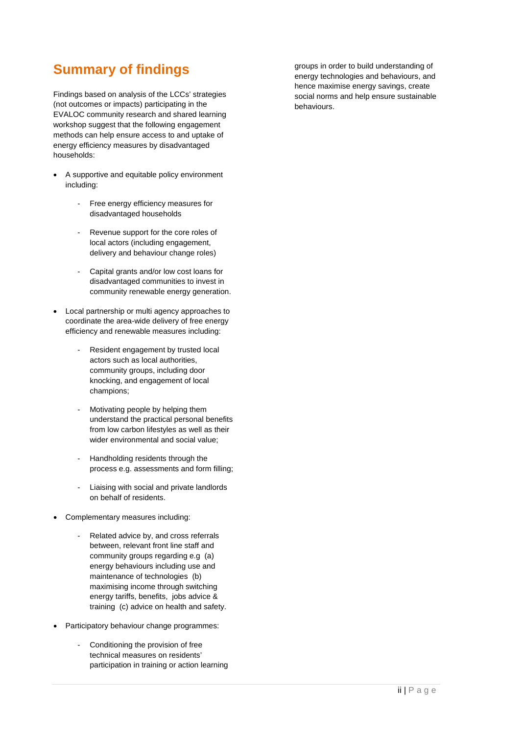### <span id="page-3-0"></span>**Summary of findings**

Findings based on analysis of the LCCs' strategies (not outcomes or impacts) participating in the EVALOC community research and shared learning workshop suggest that the following engagement methods can help ensure access to and uptake of energy efficiency measures by disadvantaged households:

- A supportive and equitable policy environment including:
	- Free energy efficiency measures for disadvantaged households
	- Revenue support for the core roles of local actors (including engagement, delivery and behaviour change roles)
	- Capital grants and/or low cost loans for disadvantaged communities to invest in community renewable energy generation.
- Local partnership or multi agency approaches to coordinate the area-wide delivery of free energy efficiency and renewable measures including:
	- Resident engagement by trusted local actors such as local authorities, community groups, including door knocking, and engagement of local champions;
	- Motivating people by helping them understand the practical personal benefits from low carbon lifestyles as well as their wider environmental and social value;
	- Handholding residents through the process e.g. assessments and form filling;
	- Liaising with social and private landlords on behalf of residents.
- Complementary measures including:
	- Related advice by, and cross referrals between, relevant front line staff and community groups regarding e.g (a) energy behaviours including use and maintenance of technologies (b) maximising income through switching energy tariffs, benefits, jobs advice & training (c) advice on health and safety.
- Participatory behaviour change programmes:
	- Conditioning the provision of free technical measures on residents' participation in training or action learning

groups in order to build understanding of energy technologies and behaviours, and hence maximise energy savings, create social norms and help ensure sustainable behaviours.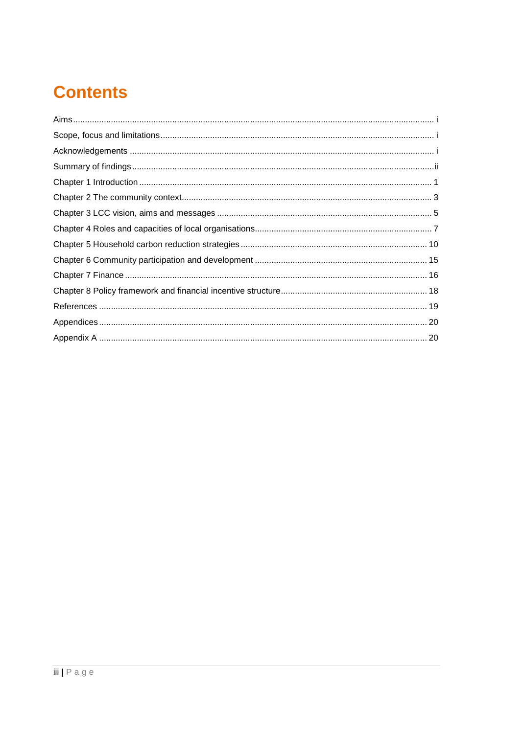# **Contents**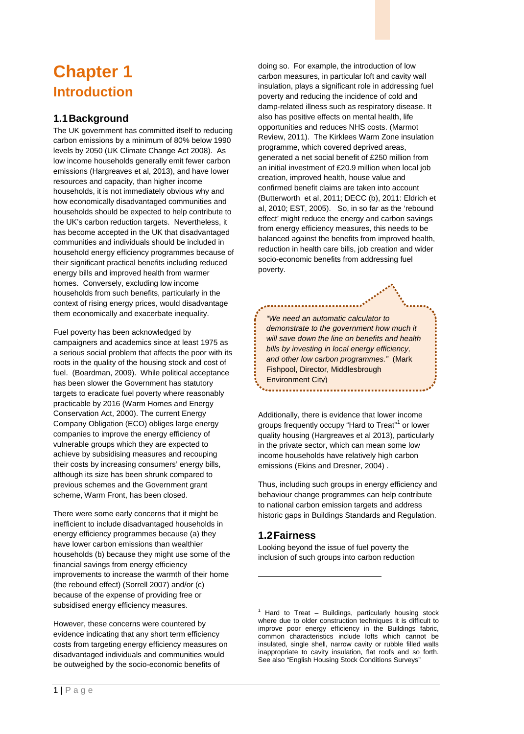## <span id="page-6-0"></span>**Chapter 1 Introduction**

#### **1.1Background**

The UK government has committed itself to reducing carbon emissions by a minimum of 80% below 1990 levels by 2050 (UK Climate Change Act 2008). As low income households generally emit fewer carbon emissions (Hargreaves et al, 2013), and have lower resources and capacity, than higher income households, it is not immediately obvious why and how economically disadvantaged communities and households should be expected to help contribute to the UK's carbon reduction targets. Nevertheless, it has become accepted in the UK that disadvantaged communities and individuals should be included in household energy efficiency programmes because of their significant practical benefits including reduced energy bills and improved health from warmer homes. Conversely, excluding low income households from such benefits, particularly in the context of rising energy prices, would disadvantage them economically and exacerbate inequality.

Fuel poverty has been acknowledged by campaigners and academics since at least 1975 as a serious social problem that affects the poor with its roots in the quality of the housing stock and cost of fuel. (Boardman, 2009). While political acceptance has been slower the Government has statutory targets to eradicate fuel poverty where reasonably practicable by 2016 (Warm Homes and Energy Conservation Act, 2000). The current Energy Company Obligation (ECO) obliges large energy companies to improve the energy efficiency of vulnerable groups which they are expected to achieve by subsidising measures and recouping their costs by increasing consumers' energy bills, although its size has been shrunk compared to previous schemes and the Government grant scheme, Warm Front, has been closed.

There were some early concerns that it might be inefficient to include disadvantaged households in energy efficiency programmes because (a) they have lower carbon emissions than wealthier households (b) because they might use some of the financial savings from energy efficiency improvements to increase the warmth of their home (the rebound effect) (Sorrell 2007) and/or (c) because of the expense of providing free or subsidised energy efficiency measures.

<span id="page-6-1"></span>However, these concerns were countered by evidence indicating that any short term efficiency costs from targeting energy efficiency measures on disadvantaged individuals and communities would be outweighed by the socio-economic benefits of

doing so. For example, the introduction of low carbon measures, in particular loft and cavity wall insulation, plays a significant role in addressing fuel poverty and reducing the incidence of cold and damp-related illness such as respiratory disease. It also has positive effects on mental health, life opportunities and reduces NHS costs. (Marmot Review, 2011). The Kirklees Warm Zone insulation programme, which covered deprived areas, generated a net social benefit of £250 million from an initial investment of £20.9 million when local job creation, improved health, house value and confirmed benefit claims are taken into account (Butterworth et al, 2011; DECC (b), 2011: Eldrich et al, 2010; EST, 2005). So, in so far as the 'rebound effect' might reduce the energy and carbon savings from energy efficiency measures, this needs to be balanced against the benefits from improved health, reduction in health care bills, job creation and wider socio-economic benefits from addressing fuel poverty.

*"We need an automatic calculator to demonstrate to the government how much it will save down the line on benefits and health bills by investing in local energy efficiency, and other low carbon programmes."* (Mark Fishpool, Director, Middlesbrough Environment City)

Additionally, there is evidence that lower income groups frequently occupy "Hard to Treat"<sup>[1](#page-6-1)</sup> or lower quality housing (Hargreaves et al 2013), particularly in the private sector, which can mean some low income households have relatively high carbon emissions (Ekins and Dresner, 2004) .

Thus, including such groups in energy efficiency and behaviour change programmes can help contribute to national carbon emission targets and address historic gaps in Buildings Standards and Regulation.

### **1.2Fairness**

-

Looking beyond the issue of fuel poverty the inclusion of such groups into carbon reduction

 $1$  Hard to Treat – Buildings, particularly housing stock where due to older construction techniques it is difficult to improve poor energy efficiency in the Buildings fabric, common characteristics include lofts which cannot be insulated, single shell, narrow cavity or rubble filled walls inappropriate to cavity insulation, flat roofs and so forth. See also "English Housing Stock Conditions Surveys"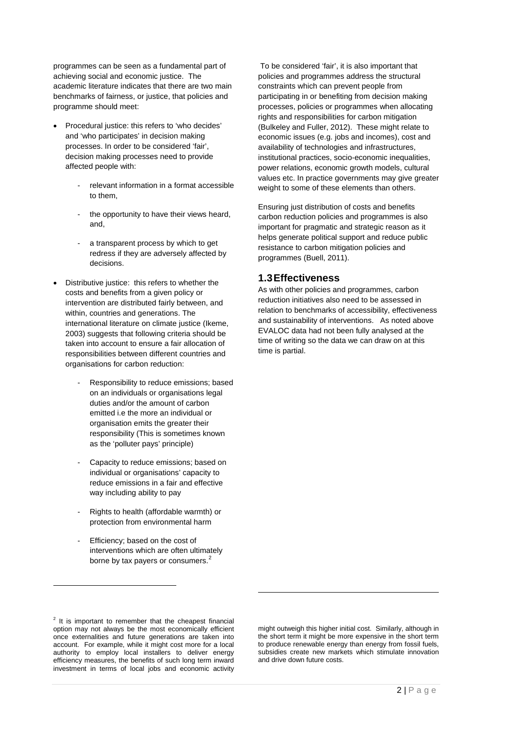programmes can be seen as a fundamental part of achieving social and economic justice. The academic literature indicates that there are two main benchmarks of fairness, or justice, that policies and programme should meet:

- Procedural justice: this refers to 'who decides' and 'who participates' in decision making processes. In order to be considered 'fair', decision making processes need to provide affected people with:
	- relevant information in a format accessible to them,
	- the opportunity to have their views heard, and,
	- a transparent process by which to get redress if they are adversely affected by decisions.
- Distributive justice: this refers to whether the costs and benefits from a given policy or intervention are distributed fairly between, and within, countries and generations. The international literature on climate justice (Ikeme, 2003) suggests that following criteria should be taken into account to ensure a fair allocation of responsibilities between different countries and organisations for carbon reduction:
	- Responsibility to reduce emissions; based on an individuals or organisations legal duties and/or the amount of carbon emitted i.e the more an individual or organisation emits the greater their responsibility (This is sometimes known as the 'polluter pays' principle)
	- Capacity to reduce emissions; based on individual or organisations' capacity to reduce emissions in a fair and effective way including ability to pay
	- Rights to health (affordable warmth) or protection from environmental harm
	- Efficiency; based on the cost of interventions which are often ultimately borne by tax payers or consumers. $2$

To be considered 'fair', it is also important that policies and programmes address the structural constraints which can prevent people from participating in or benefiting from decision making processes, policies or programmes when allocating rights and responsibilities for carbon mitigation (Bulkeley and Fuller, 2012). These might relate to economic issues (e.g. jobs and incomes), cost and availability of technologies and infrastructures, institutional practices, socio-economic inequalities, power relations, economic growth models, cultural values etc. In practice governments may give greater weight to some of these elements than others.

Ensuring just distribution of costs and benefits carbon reduction policies and programmes is also important for pragmatic and strategic reason as it helps generate political support and reduce public resistance to carbon mitigation policies and programmes (Buell, 2011).

#### **1.3Effectiveness**

As with other policies and programmes, carbon reduction initiatives also need to be assessed in relation to benchmarks of accessibility, effectiveness and sustainability of interventions. As noted above EVALOC data had not been fully analysed at the time of writing so the data we can draw on at this time is partial.

-

might outweigh this higher initial cost. Similarly, although in the short term it might be more expensive in the short term to produce renewable energy than energy from fossil fuels, subsidies create new markets which stimulate innovation and drive down future costs.

-

<span id="page-7-0"></span> $2$  It is important to remember that the cheapest financial option may not always be the most economically efficient once externalities and future generations are taken into account. For example, while it might cost more for a local authority to employ local installers to deliver energy efficiency measures, the benefits of such long term inward investment in terms of local jobs and economic activity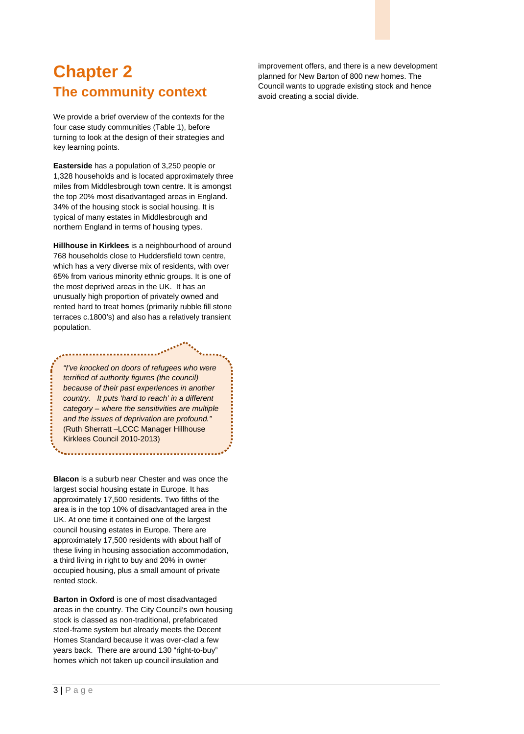## <span id="page-8-0"></span>**Chapter 2 The community context**

We provide a brief overview of the contexts for the four case study communities (Table 1), before turning to look at the design of their strategies and key learning points.

**Easterside** has a population of 3,250 people or 1,328 households and is located approximately three miles from Middlesbrough town centre. It is amongst the top 20% most disadvantaged areas in England. 34% of the housing stock is social housing. It is typical of many estates in Middlesbrough and northern England in terms of housing types.

**Hillhouse in Kirklees** is a neighbourhood of around 768 households close to Huddersfield town centre, which has a very diverse mix of residents, with over 65% from various minority ethnic groups. It is one of the most deprived areas in the UK. It has an unusually high proportion of privately owned and rented hard to treat homes (primarily rubble fill stone terraces c.1800's) and also has a relatively transient population.

*"I've knocked on doors of refugees who were terrified of authority figures (the council) because of their past experiences in another country. It puts 'hard to reach' in a different category – where the sensitivities are multiple and the issues of deprivation are profound."*  (Ruth Sherratt –LCCC Manager Hillhouse Kirklees Council 2010-2013)

**Blacon** is a suburb near Chester and was once the largest social housing estate in Europe. It has approximately 17,500 residents. Two fifths of the area is in the top 10% of disadvantaged area in the UK. At one time it contained one of the largest council housing estates in Europe. There are approximately 17,500 residents with about half of these living in housing association accommodation, a third living in right to buy and 20% in owner occupied housing, plus a small amount of private rented stock.

**Barton in Oxford** is one of most disadvantaged areas in the country. The City Council's own housing stock is classed as non-traditional, prefabricated steel-frame system but already meets the Decent Homes Standard because it was over-clad a few years back. There are around 130 "right-to-buy" homes which not taken up council insulation and

improvement offers, and there is a new development planned for New Barton of 800 new homes. The Council wants to upgrade existing stock and hence avoid creating a social divide.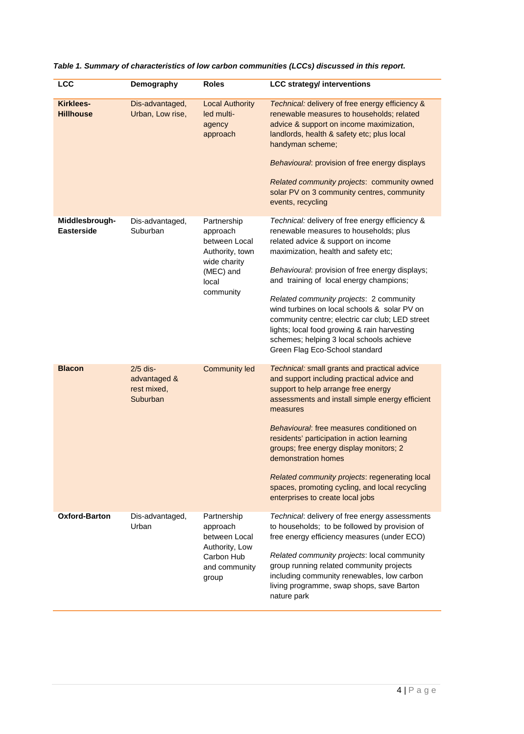| <b>LCC</b>                           | Demography                                            | <b>Roles</b>                                                                                                   | <b>LCC strategy/ interventions</b>                                                                                                                                                                                                                                                                                                                                                                                                                                                                                                                |
|--------------------------------------|-------------------------------------------------------|----------------------------------------------------------------------------------------------------------------|---------------------------------------------------------------------------------------------------------------------------------------------------------------------------------------------------------------------------------------------------------------------------------------------------------------------------------------------------------------------------------------------------------------------------------------------------------------------------------------------------------------------------------------------------|
| <b>Kirklees-</b><br><b>Hillhouse</b> | Dis-advantaged,<br>Urban, Low rise,                   | <b>Local Authority</b><br>led multi-<br>agency<br>approach                                                     | Technical: delivery of free energy efficiency &<br>renewable measures to households; related<br>advice & support on income maximization,<br>landlords, health & safety etc; plus local<br>handyman scheme;<br>Behavioural: provision of free energy displays<br>Related community projects: community owned<br>solar PV on 3 community centres, community<br>events, recycling                                                                                                                                                                    |
| Middlesbrough-<br><b>Easterside</b>  | Dis-advantaged,<br>Suburban                           | Partnership<br>approach<br>between Local<br>Authority, town<br>wide charity<br>(MEC) and<br>local<br>community | Technical: delivery of free energy efficiency &<br>renewable measures to households; plus<br>related advice & support on income<br>maximization, health and safety etc;<br>Behavioural: provision of free energy displays;<br>and training of local energy champions;<br>Related community projects: 2 community<br>wind turbines on local schools & solar PV on<br>community centre; electric car club; LED street<br>lights; local food growing & rain harvesting<br>schemes; helping 3 local schools achieve<br>Green Flag Eco-School standard |
| <b>Blacon</b>                        | $2/5$ dis-<br>advantaged &<br>rest mixed,<br>Suburban | <b>Community led</b>                                                                                           | Technical: small grants and practical advice<br>and support including practical advice and<br>support to help arrange free energy<br>assessments and install simple energy efficient<br>measures<br>Behavioural: free measures conditioned on<br>residents' participation in action learning<br>groups; free energy display monitors; 2<br>demonstration homes<br>Related community projects: regenerating local<br>spaces, promoting cycling, and local recycling<br>enterprises to create local jobs                                            |
| Oxford-Barton                        | Dis-advantaged,<br>Urban                              | Partnership<br>approach<br>between Local<br>Authority, Low<br>Carbon Hub<br>and community<br>group             | Technical: delivery of free energy assessments<br>to households; to be followed by provision of<br>free energy efficiency measures (under ECO)<br>Related community projects: local community<br>group running related community projects<br>including community renewables, low carbon<br>living programme, swap shops, save Barton<br>nature park                                                                                                                                                                                               |

| Table 1. Summary of characteristics of low carbon communities (LCCs) discussed in this report. |  |
|------------------------------------------------------------------------------------------------|--|
|------------------------------------------------------------------------------------------------|--|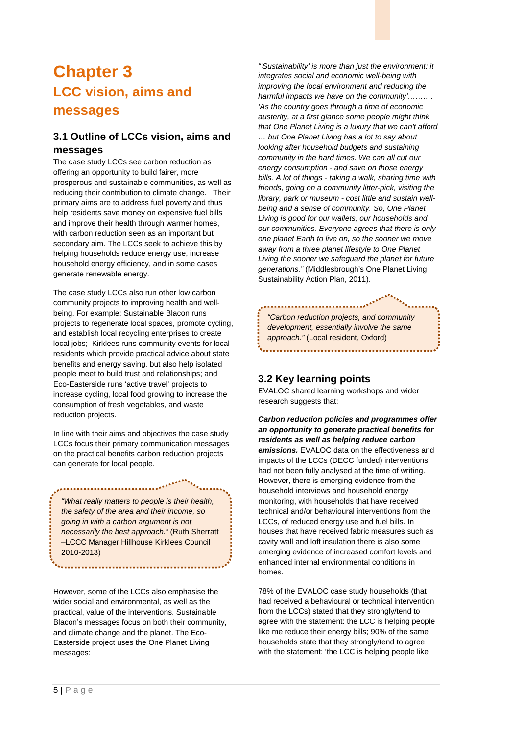## <span id="page-10-0"></span>**Chapter 3 LCC vision, aims and messages**

### **3.1 Outline of LCCs vision, aims and messages**

The case study LCCs see carbon reduction as offering an opportunity to build fairer, more prosperous and sustainable communities, as well as reducing their contribution to climate change. Their primary aims are to address fuel poverty and thus help residents save money on expensive fuel bills and improve their health through warmer homes, with carbon reduction seen as an important but secondary aim. The LCCs seek to achieve this by helping households reduce energy use, increase household energy efficiency, and in some cases generate renewable energy.

The case study LCCs also run other low carbon community projects to improving health and wellbeing. For example: Sustainable Blacon runs projects to regenerate local spaces, promote cycling, and establish local recycling enterprises to create local jobs; Kirklees runs community events for local residents which provide practical advice about state benefits and energy saving, but also help isolated people meet to build trust and relationships; and Eco-Easterside runs 'active travel' projects to increase cycling, local food growing to increase the consumption of fresh vegetables, and waste reduction projects.

In line with their aims and objectives the case study LCCs focus their primary communication messages on the practical benefits carbon reduction projects can generate for local people.

*"What really matters to people is their health, the safety of the area and their income, so going in with a carbon argument is not necessarily the best approach."* (Ruth Sherratt –LCCC Manager Hillhouse Kirklees Council 2010-2013)

However, some of the LCCs also emphasise the wider social and environmental, as well as the practical, value of the interventions. Sustainable Blacon's messages focus on both their community, and climate change and the planet. The Eco-Easterside project uses the One Planet Living messages:

*"'Sustainability' is more than just the environment; it integrates social and economic well-being with improving the local environment and reducing the harmful impacts we have on the community'………. 'As the country goes through a time of economic austerity, at a first glance some people might think that One Planet Living is a luxury that we can't afford … but One Planet Living has a lot to say about looking after household budgets and sustaining* 

*community in the hard times. We can all cut our energy consumption - and save on those energy bills. A lot of things - taking a walk, sharing time with friends, going on a community litter-pick, visiting the library, park or museum - cost little and sustain wellbeing and a sense of community. So, One Planet Living is good for our wallets, our households and our communities. Everyone agrees that there is only one planet Earth to live on, so the sooner we move away from a three planet lifestyle to One Planet Living the sooner we safeguard the planet for future generations."* (Middlesbrough's One Planet Living Sustainability Action Plan, 2011).

*"Carbon reduction projects, and community development, essentially involve the same approach."* (Local resident, Oxford)

### **3.2 Key learning points**

EVALOC shared learning workshops and wider research suggests that:

*Carbon reduction policies and programmes offer an opportunity to generate practical benefits for residents as well as helping reduce carbon emissions.* EVALOC data on the effectiveness and impacts of the LCCs (DECC funded) interventions had not been fully analysed at the time of writing. However, there is emerging evidence from the household interviews and household energy monitoring, with households that have received technical and/or behavioural interventions from the LCCs, of reduced energy use and fuel bills. In houses that have received fabric measures such as cavity wall and loft insulation there is also some emerging evidence of increased comfort levels and enhanced internal environmental conditions in homes.

78% of the EVALOC case study households (that had received a behavioural or technical intervention from the LCCs) stated that they strongly/tend to agree with the statement: the LCC is helping people like me reduce their energy bills; 90% of the same households state that they strongly/tend to agree with the statement: 'the LCC is helping people like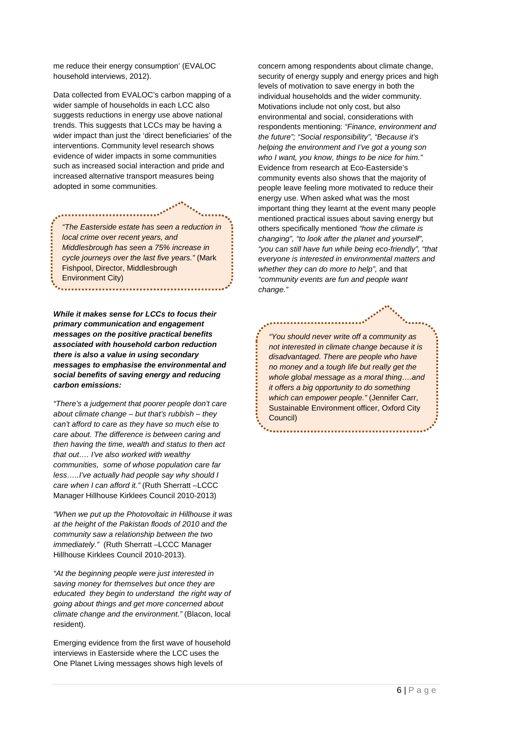me reduce their energy consumption' (EVALOC household interviews, 2012).

Data collected from EVALOC's carbon mapping of a wider sample of households in each LCC also suggests reductions in energy use above national trends. This suggests that LCCs may be having a wider impact than just the 'direct beneficiaries' of the interventions. Community level research shows evidence of wider impacts in some communities such as increased social interaction and pride and increased alternative transport measures being adopted in some communities.

*"The Easterside estate has seen a reduction in local crime over recent years, and Middlesbrough has seen a 75% increase in cycle journeys over the last five years."* (Mark Fishpool, Director, Middlesbrough Environment City)

*While it makes sense for LCCs to focus their primary communication and engagement messages on the positive practical benefits associated with household carbon reduction there is also a value in using secondary messages to emphasise the environmental and social benefits of saving energy and reducing carbon emissions:*

*"There's a judgement that poorer people don't care about climate change – but that's rubbish – they can't afford to care as they have so much else to care about. The difference is between caring and then having the time, wealth and status to then act that out…. I've also worked with wealthy communities, some of whose population care far less…..I've actually had people say why should I care when I can afford it."* (Ruth Sherratt –LCCC Manager Hillhouse Kirklees Council 2010-2013)

*"When we put up the Photovoltaic in Hillhouse it was at the height of the Pakistan floods of 2010 and the community saw a relationship between the two immediately."* (Ruth Sherratt –LCCC Manager Hillhouse Kirklees Council 2010-2013).

*"At the beginning people were just interested in saving money for themselves but once they are educated they begin to understand the right way of going about things and get more concerned about climate change and the environment."* (Blacon, local resident).

Emerging evidence from the first wave of household interviews in Easterside where the LCC uses the One Planet Living messages shows high levels of

concern among respondents about climate change, security of energy supply and energy prices and high levels of motivation to save energy in both the individual households and the wider community. Motivations include not only cost, but also environmental and social, considerations with respondents mentioning: *"Finance, environment and the future"; "Social responsibility", "Because it's helping the environment and I've got a young son who I want, you know, things to be nice for him."* Evidence from research at Eco-Easterside's community events also shows that the majority of people leave feeling more motivated to reduce their energy use. When asked what was the most important thing they learnt at the event many people mentioned practical issues about saving energy but others specifically mentioned *"how the climate is changing", "to look after the planet and yourself", "you can still have fun while being eco-friendly", "that everyone is interested in environmental matters and whether they can do more to help",* and that *"community events are fun and people want change."*

*"You should never write off a community as not interested in climate change because it is disadvantaged. There are people who have no money and a tough life but really get the whole global message as a moral thing….and it offers a big opportunity to do something which can empower people."* (Jennifer Carr, Sustainable Environment officer, Oxford City Council)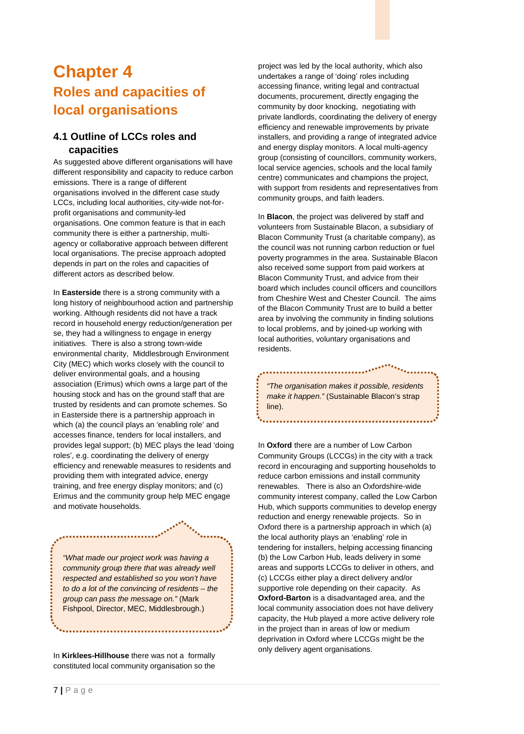### <span id="page-12-0"></span>**Chapter 4 Roles and capacities of local organisations**

### **4.1 Outline of LCCs roles and capacities**

As suggested above different organisations will have different responsibility and capacity to reduce carbon emissions. There is a range of different organisations involved in the different case study LCCs, including local authorities, city-wide not-forprofit organisations and community-led organisations. One common feature is that in each community there is either a partnership, multiagency or collaborative approach between different local organisations. The precise approach adopted depends in part on the roles and capacities of different actors as described below.

In **Easterside** there is a strong community with a long history of neighbourhood action and partnership working. Although residents did not have a track record in household energy reduction/generation per se, they had a willingness to engage in energy initiatives. There is also a strong town-wide environmental charity, Middlesbrough Environment City (MEC) which works closely with the council to deliver environmental goals, and a housing association (Erimus) which owns a large part of the housing stock and has on the ground staff that are trusted by residents and can promote schemes. So in Easterside there is a partnership approach in which (a) the council plays an 'enabling role' and accesses finance, tenders for local installers, and provides legal support; (b) MEC plays the lead 'doing roles', e.g. coordinating the delivery of energy efficiency and renewable measures to residents and providing them with integrated advice, energy training, and free energy display monitors; and (c) Erimus and the community group help MEC engage and motivate households.

*"What made our project work was having a community group there that was already well respected and established so you won't have to do a lot of the convincing of residents – the group can pass the message on."* (Mark Fishpool, Director, MEC, Middlesbrough.)

In **Kirklees-Hillhouse** there was not a formally constituted local community organisation so the project was led by the local authority, which also undertakes a range of 'doing' roles including accessing finance, writing legal and contractual documents, procurement, directly engaging the community by door knocking, negotiating with private landlords, coordinating the delivery of energy efficiency and renewable improvements by private installers, and providing a range of integrated advice and energy display monitors. A local multi-agency group (consisting of councillors, community workers, local service agencies, schools and the local family centre) communicates and champions the project, with support from residents and representatives from community groups, and faith leaders.

In **Blacon**, the project was delivered by staff and volunteers from Sustainable Blacon, a subsidiary of Blacon Community Trust (a charitable company), as the council was not running carbon reduction or fuel poverty programmes in the area. Sustainable Blacon also received some support from paid workers at Blacon Community Trust, and advice from their board which includes council officers and councillors from Cheshire West and Chester Council. The aims of the Blacon Community Trust are to build a better area by involving the community in finding solutions to local problems, and by joined-up working with local authorities, voluntary organisations and residents.

*"The organisation makes it possible, residents make it happen."* (Sustainable Blacon's strap line).

In **Oxford** there are a number of Low Carbon Community Groups (LCCGs) in the city with a track record in encouraging and supporting households to reduce carbon emissions and install community renewables. There is also an Oxfordshire-wide community interest company, called the Low Carbon Hub, which supports communities to develop energy reduction and energy renewable projects. So in Oxford there is a partnership approach in which (a) the local authority plays an 'enabling' role in tendering for installers, helping accessing financing (b) the Low Carbon Hub, leads delivery in some areas and supports LCCGs to deliver in others, and (c) LCCGs either play a direct delivery and/or supportive role depending on their capacity. As **Oxford-Barton** is a disadvantaged area, and the local community association does not have delivery capacity, the Hub played a more active delivery role in the project than in areas of low or medium deprivation in Oxford where LCCGs might be the only delivery agent organisations.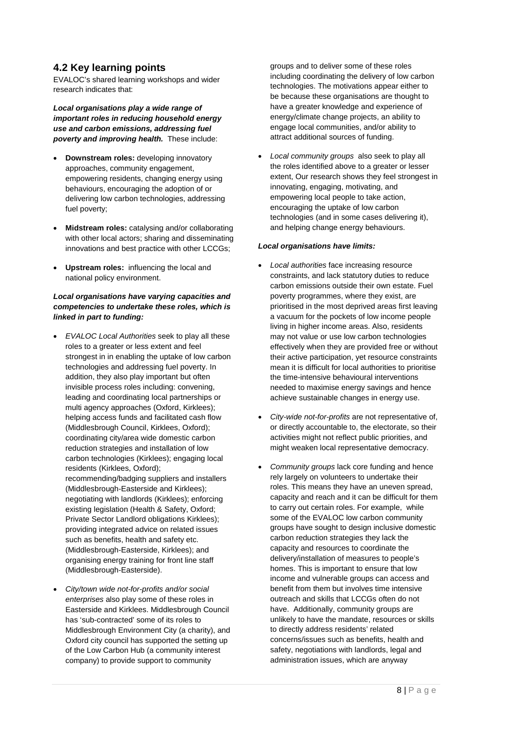#### **4.2 Key learning points**

EVALOC's shared learning workshops and wider research indicates that:

*Local organisations play a wide range of important roles in reducing household energy use and carbon emissions, addressing fuel poverty and improving health.* These include:

- **Downstream roles:** developing innovatory approaches, community engagement, empowering residents, changing energy using behaviours, encouraging the adoption of or delivering low carbon technologies, addressing fuel poverty;
- **Midstream roles:** catalysing and/or collaborating with other local actors; sharing and disseminating innovations and best practice with other LCCGs;
- **Upstream roles:** influencing the local and national policy environment.

#### *Local organisations have varying capacities and competencies to undertake these roles, which is linked in part to funding:*

- *EVALOC Local Authorities* seek to play all these roles to a greater or less extent and feel strongest in in enabling the uptake of low carbon technologies and addressing fuel poverty. In addition, they also play important but often invisible process roles including: convening, leading and coordinating local partnerships or multi agency approaches (Oxford, Kirklees); helping access funds and facilitated cash flow (Middlesbrough Council, Kirklees, Oxford); coordinating city/area wide domestic carbon reduction strategies and installation of low carbon technologies (Kirklees); engaging local residents (Kirklees, Oxford); recommending/badging suppliers and installers (Middlesbrough-Easterside and Kirklees); negotiating with landlords (Kirklees); enforcing existing legislation (Health & Safety, Oxford; Private Sector Landlord obligations Kirklees); providing integrated advice on related issues such as benefits, health and safety etc. (Middlesbrough-Easterside, Kirklees); and organising energy training for front line staff (Middlesbrough-Easterside).
- *City/town wide not-for-profits and/or social enterprises* also play some of these roles in Easterside and Kirklees. Middlesbrough Council has 'sub-contracted' some of its roles to Middlesbrough Environment City (a charity), and Oxford city council has supported the setting up of the Low Carbon Hub (a community interest company) to provide support to community

groups and to deliver some of these roles including coordinating the delivery of low carbon technologies. The motivations appear either to be because these organisations are thought to have a greater knowledge and experience of energy/climate change projects, an ability to engage local communities, and/or ability to attract additional sources of funding.

• *Local community groups* also seek to play all the roles identified above to a greater or lesser extent, Our research shows they feel strongest in innovating, engaging, motivating, and empowering local people to take action, encouraging the uptake of low carbon technologies (and in some cases delivering it), and helping change energy behaviours.

#### *Local organisations have limits:*

- *Local authorities* face increasing resource constraints, and lack statutory duties to reduce carbon emissions outside their own estate. Fuel poverty programmes, where they exist, are prioritised in the most deprived areas first leaving a vacuum for the pockets of low income people living in higher income areas. Also, residents may not value or use low carbon technologies effectively when they are provided free or without their active participation, yet resource constraints mean it is difficult for local authorities to prioritise the time-intensive behavioural interventions needed to maximise energy savings and hence achieve sustainable changes in energy use.
- *City-wide not-for-profits* are not representative of, or directly accountable to, the electorate, so their activities might not reflect public priorities, and might weaken local representative democracy.
- *Community groups* lack core funding and hence rely largely on volunteers to undertake their roles. This means they have an uneven spread, capacity and reach and it can be difficult for them to carry out certain roles. For example, while some of the EVALOC low carbon community groups have sought to design inclusive domestic carbon reduction strategies they lack the capacity and resources to coordinate the delivery/installation of measures to people's homes. This is important to ensure that low income and vulnerable groups can access and benefit from them but involves time intensive outreach and skills that LCCGs often do not have. Additionally, community groups are unlikely to have the mandate, resources or skills to directly address residents' related concerns/issues such as benefits, health and safety, negotiations with landlords, legal and administration issues, which are anyway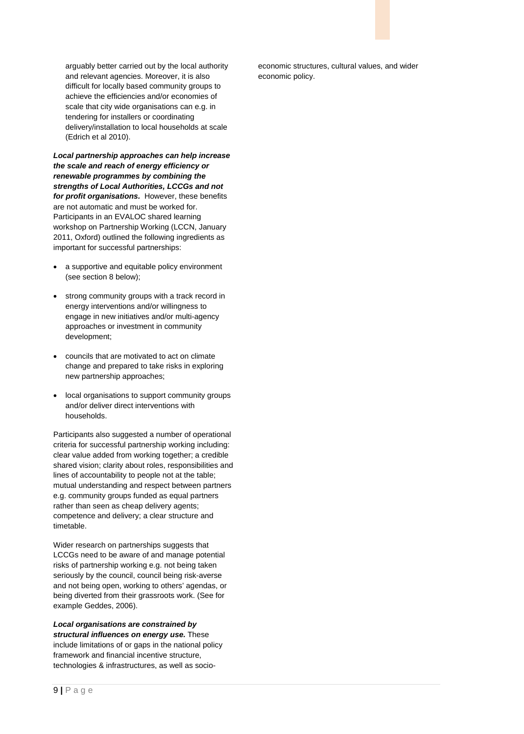arguably better carried out by the local authority and relevant agencies. Moreover, it is also difficult for locally based community groups to achieve the efficiencies and/or economies of scale that city wide organisations can e.g. in tendering for installers or coordinating delivery/installation to local households at scale (Edrich et al 2010).

*Local partnership approaches can help increase the scale and reach of energy efficiency or renewable programmes by combining the strengths of Local Authorities, LCCGs and not for profit organisations.* However, these benefits are not automatic and must be worked for. Participants in an EVALOC shared learning workshop on Partnership Working (LCCN, January 2011, Oxford) outlined the following ingredients as important for successful partnerships:

- a supportive and equitable policy environment (see section 8 below);
- strong community groups with a track record in energy interventions and/or willingness to engage in new initiatives and/or multi-agency approaches or investment in community development;
- councils that are motivated to act on climate change and prepared to take risks in exploring new partnership approaches;
- local organisations to support community groups and/or deliver direct interventions with households.

Participants also suggested a number of operational criteria for successful partnership working including: clear value added from working together; a credible shared vision; clarity about roles, responsibilities and lines of accountability to people not at the table; mutual understanding and respect between partners e.g. community groups funded as equal partners rather than seen as cheap delivery agents; competence and delivery; a clear structure and timetable.

Wider research on partnerships suggests that LCCGs need to be aware of and manage potential risks of partnership working e.g. not being taken seriously by the council, council being risk-averse and not being open, working to others' agendas, or being diverted from their grassroots work. (See for example Geddes, 2006).

*Local organisations are constrained by structural influences on energy use.* These include limitations of or gaps in the national policy framework and financial incentive structure, technologies & infrastructures, as well as socio-

economic structures, cultural values, and wider economic policy.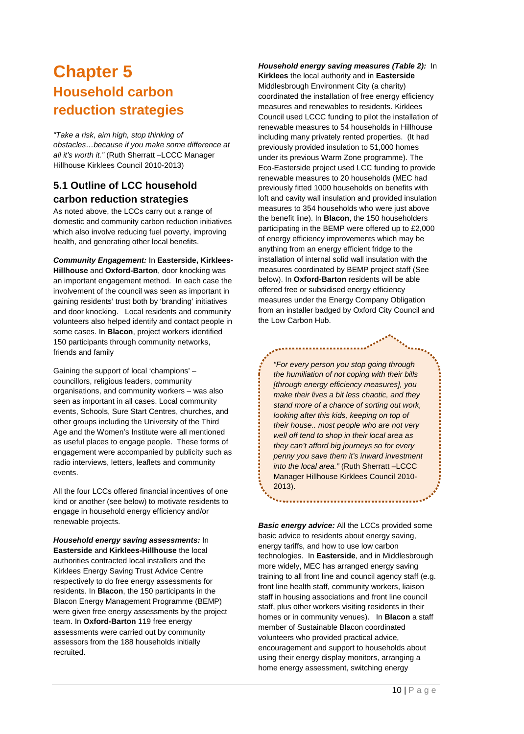### <span id="page-15-0"></span>**Chapter 5 Household carbon reduction strategies**

*"Take a risk, aim high, stop thinking of obstacles…because if you make some difference at all it's worth it."* (Ruth Sherratt –LCCC Manager Hillhouse Kirklees Council 2010-2013)

### **5.1 Outline of LCC household carbon reduction strategies**

As noted above, the LCCs carry out a range of domestic and community carbon reduction initiatives which also involve reducing fuel poverty, improving health, and generating other local benefits.

*Community Engagement:* In **Easterside, Kirklees-Hillhouse** and **Oxford-Barton**, door knocking was an important engagement method. In each case the involvement of the council was seen as important in gaining residents' trust both by 'branding' initiatives and door knocking. Local residents and community volunteers also helped identify and contact people in some cases. In **Blacon**, project workers identified 150 participants through community networks, friends and family

Gaining the support of local 'champions' – councillors, religious leaders, community organisations, and community workers – was also seen as important in all cases. Local community events, Schools, Sure Start Centres, churches, and other groups including the University of the Third Age and the Women's Institute were all mentioned as useful places to engage people. These forms of engagement were accompanied by publicity such as radio interviews, letters, leaflets and community events.

All the four LCCs offered financial incentives of one kind or another (see below) to motivate residents to engage in household energy efficiency and/or renewable projects.

*Household energy saving assessments:* In **Easterside** and **Kirklees-Hillhouse** the local authorities contracted local installers and the Kirklees Energy Saving Trust Advice Centre respectively to do free energy assessments for residents. In **Blacon**, the 150 participants in the Blacon Energy Management Programme (BEMP) were given free energy assessments by the project team. In **Oxford-Barton** 119 free energy assessments were carried out by community assessors from the 188 households initially recruited.

*Household energy saving measures (Table 2):* In **Kirklees** the local authority and in **Easterside** Middlesbrough Environment City (a charity) coordinated the installation of free energy efficiency measures and renewables to residents. Kirklees Council used LCCC funding to pilot the installation of renewable measures to 54 households in Hillhouse including many privately rented properties. (It had previously provided insulation to 51,000 homes under its previous Warm Zone programme). The Eco-Easterside project used LCC funding to provide renewable measures to 20 households (MEC had previously fitted 1000 households on benefits with loft and cavity wall insulation and provided insulation measures to 354 households who were just above the benefit line). In **Blacon**, the 150 householders participating in the BEMP were offered up to £2,000 of energy efficiency improvements which may be anything from an energy efficient fridge to the installation of internal solid wall insulation with the measures coordinated by BEMP project staff (See below). In **Oxford-Barton** residents will be able offered free or subsidised energy efficiency measures under the Energy Company Obligation from an installer badged by Oxford City Council and the Low Carbon Hub.

*"For every person you stop going through the humiliation of not coping with their bills [through energy efficiency measures], you make their lives a bit less chaotic, and they stand more of a chance of sorting out work, looking after this kids, keeping on top of their house.. most people who are not very well off tend to shop in their local area as they can't afford big journeys so for every penny you save them it's inward investment into the local area."* (Ruth Sherratt –LCCC Manager Hillhouse Kirklees Council 2010- 2013).

*Basic energy advice:* All the LCCs provided some basic advice to residents about energy saving, energy tariffs, and how to use low carbon technologies. In **Easterside**, and in Middlesbrough more widely, MEC has arranged energy saving training to all front line and council agency staff (e.g. front line health staff, community workers, liaison staff in housing associations and front line council staff, plus other workers visiting residents in their homes or in community venues). In **Blacon** a staff member of Sustainable Blacon coordinated volunteers who provided practical advice, encouragement and support to households about using their energy display monitors, arranging a home energy assessment, switching energy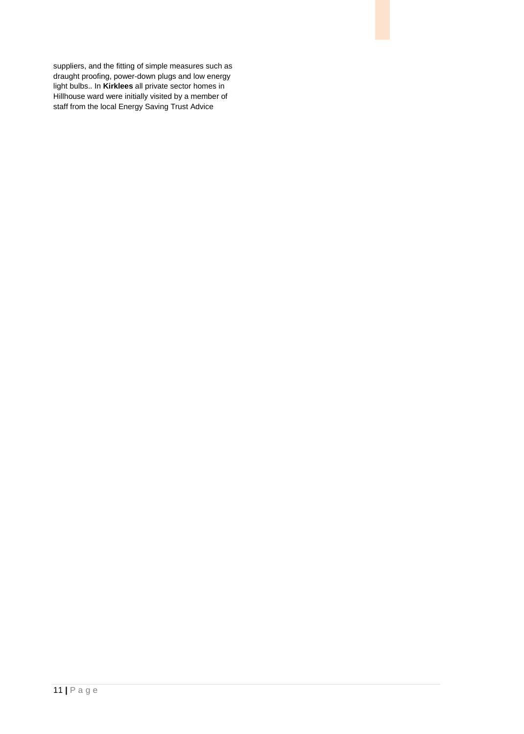suppliers, and the fitting of simple measures such as draught proofing, power-down plugs and low energy light bulbs.. In **Kirklees** all private sector homes in Hillhouse ward were initially visited by a member of staff from the local Energy Saving Trust Advice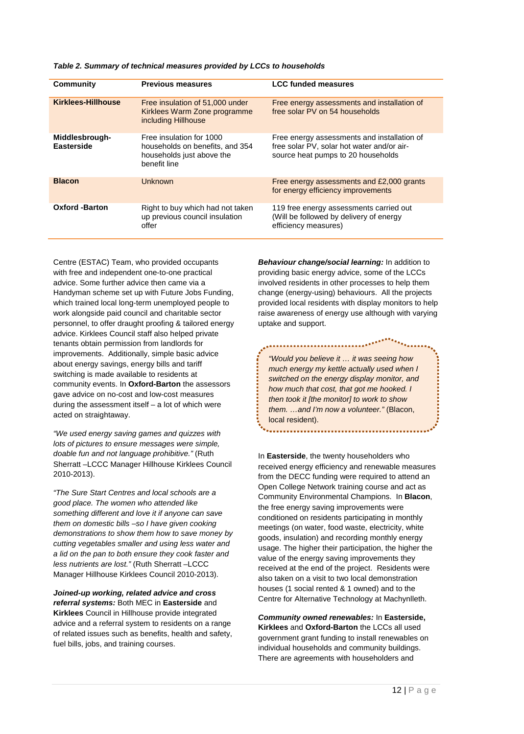| <b>Community</b>                    | <b>Previous measures</b>                                                                                 | <b>LCC funded measures</b>                                                                                                      |
|-------------------------------------|----------------------------------------------------------------------------------------------------------|---------------------------------------------------------------------------------------------------------------------------------|
| <b>Kirklees-Hillhouse</b>           | Free insulation of 51,000 under<br>Kirklees Warm Zone programme<br>including Hillhouse                   | Free energy assessments and installation of<br>free solar PV on 54 households                                                   |
| Middlesbrough-<br><b>Easterside</b> | Free insulation for 1000<br>households on benefits, and 354<br>households just above the<br>benefit line | Free energy assessments and installation of<br>free solar PV, solar hot water and/or air-<br>source heat pumps to 20 households |
| <b>Blacon</b>                       | Unknown                                                                                                  | Free energy assessments and £2,000 grants<br>for energy efficiency improvements                                                 |
| <b>Oxford -Barton</b>               | Right to buy which had not taken<br>up previous council insulation<br>offer                              | 119 free energy assessments carried out<br>(Will be followed by delivery of energy<br>efficiency measures)                      |

*Table 2. Summary of technical measures provided by LCCs to households*

Centre (ESTAC) Team, who provided occupants with free and independent one-to-one practical advice. Some further advice then came via a Handyman scheme set up with Future Jobs Funding, which trained local long-term unemployed people to work alongside paid council and charitable sector personnel, to offer draught proofing & tailored energy advice. Kirklees Council staff also helped private tenants obtain permission from landlords for improvements. Additionally, simple basic advice about energy savings, energy bills and tariff switching is made available to residents at community events. In **Oxford-Barton** the assessors gave advice on no-cost and low-cost measures during the assessment itself – a lot of which were acted on straightaway.

*"We used energy saving games and quizzes with lots of pictures to ensure messages were simple, doable fun and not language prohibitive."* (Ruth Sherratt –LCCC Manager Hillhouse Kirklees Council 2010-2013).

*"The Sure Start Centres and local schools are a good place. The women who attended like something different and love it if anyone can save them on domestic bills –so I have given cooking demonstrations to show them how to save money by cutting vegetables smaller and using less water and a lid on the pan to both ensure they cook faster and less nutrients are lost."* (Ruth Sherratt –LCCC Manager Hillhouse Kirklees Council 2010-2013).

*Joined-up working, related advice and cross referral systems:* Both MEC in **Easterside** and **Kirklees** Council in Hillhouse provide integrated advice and a referral system to residents on a range of related issues such as benefits, health and safety, fuel bills, jobs, and training courses.

*Behaviour change/social learning:* In addition to providing basic energy advice, some of the LCCs involved residents in other processes to help them change (energy-using) behaviours. All the projects provided local residents with display monitors to help raise awareness of energy use although with varying uptake and support.

*"Would you believe it … it was seeing how much energy my kettle actually used when I switched on the energy display monitor, and how much that cost, that got me hooked. I then took it [the monitor] to work to show them. …and I'm now a volunteer."* (Blacon, local resident).

..................................

In **Easterside**, the twenty householders who received energy efficiency and renewable measures from the DECC funding were required to attend an Open College Network training course and act as Community Environmental Champions. In **Blacon**, the free energy saving improvements were conditioned on residents participating in monthly meetings (on water, food waste, electricity, white goods, insulation) and recording monthly energy usage. The higher their participation, the higher the value of the energy saving improvements they received at the end of the project. Residents were also taken on a visit to two local demonstration houses (1 social rented & 1 owned) and to the Centre for Alternative Technology at Machynlleth.

*Community owned renewables:* In **Easterside, Kirklees** and **Oxford-Barton** the LCCs all used government grant funding to install renewables on individual households and community buildings. There are agreements with householders and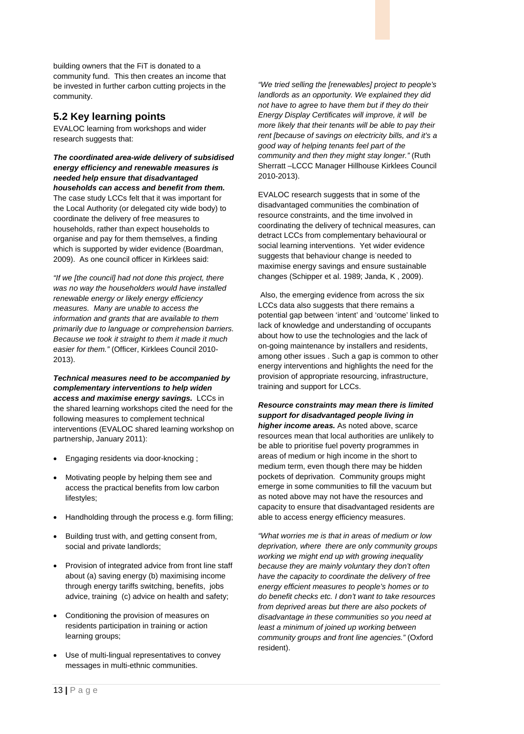building owners that the FiT is donated to a community fund. This then creates an income that be invested in further carbon cutting projects in the community.

#### **5.2 Key learning points**

EVALOC learning from workshops and wider research suggests that:

*The coordinated area-wide delivery of subsidised energy efficiency and renewable measures is needed help ensure that disadvantaged* 

*households can access and benefit from them.* The case study LCCs felt that it was important for the Local Authority (or delegated city wide body) to coordinate the delivery of free measures to households, rather than expect households to organise and pay for them themselves, a finding which is supported by wider evidence (Boardman, 2009). As one council officer in Kirklees said:

*"If we [the council] had not done this project, there was no way the householders would have installed renewable energy or likely energy efficiency measures. Many are unable to access the information and grants that are available to them primarily due to language or comprehension barriers. Because we took it straight to them it made it much easier for them."* (Officer, Kirklees Council 2010- 2013).

*Technical measures need to be accompanied by complementary interventions to help widen access and maximise energy savings.* LCCs in the shared learning workshops cited the need for the following measures to complement technical interventions (EVALOC shared learning workshop on partnership, January 2011):

- Engaging residents via door-knocking ;
- Motivating people by helping them see and access the practical benefits from low carbon lifestyles;
- Handholding through the process e.g. form filling;
- Building trust with, and getting consent from, social and private landlords;
- Provision of integrated advice from front line staff about (a) saving energy (b) maximising income through energy tariffs switching, benefits, jobs advice, training (c) advice on health and safety;
- Conditioning the provision of measures on residents participation in training or action learning groups;
- Use of multi-lingual representatives to convey messages in multi-ethnic communities.

*"We tried selling the [renewables] project to people's landlords as an opportunity. We explained they did not have to agree to have them but if they do their Energy Display Certificates will improve, it will be more likely that their tenants will be able to pay their rent [because of savings on electricity bills, and it's a good way of helping tenants feel part of the community and then they might stay longer."* (Ruth Sherratt –LCCC Manager Hillhouse Kirklees Council 2010-2013).

EVALOC research suggests that in some of the disadvantaged communities the combination of resource constraints, and the time involved in coordinating the delivery of technical measures, can detract LCCs from complementary behavioural or social learning interventions. Yet wider evidence suggests that behaviour change is needed to maximise energy savings and ensure sustainable changes (Schipper et al. 1989; Janda, K , 2009).

Also, the emerging evidence from across the six LCCs data also suggests that there remains a potential gap between 'intent' and 'outcome' linked to lack of knowledge and understanding of occupants about how to use the technologies and the lack of on-going maintenance by installers and residents, among other issues . Such a gap is common to other energy interventions and highlights the need for the provision of appropriate resourcing, infrastructure, training and support for LCCs.

*Resource constraints may mean there is limited support for disadvantaged people living in higher income areas.* As noted above, scarce resources mean that local authorities are unlikely to be able to prioritise fuel poverty programmes in areas of medium or high income in the short to medium term, even though there may be hidden pockets of deprivation. Community groups might emerge in some communities to fill the vacuum but as noted above may not have the resources and capacity to ensure that disadvantaged residents are able to access energy efficiency measures.

*"What worries me is that in areas of medium or low deprivation, where there are only community groups working we might end up with growing inequality because they are mainly voluntary they don't often have the capacity to coordinate the delivery of free energy efficient measures to people's homes or to do benefit checks etc. I don't want to take resources from deprived areas but there are also pockets of disadvantage in these communities so you need at least a minimum of joined up working between community groups and front line agencies."* (Oxford resident).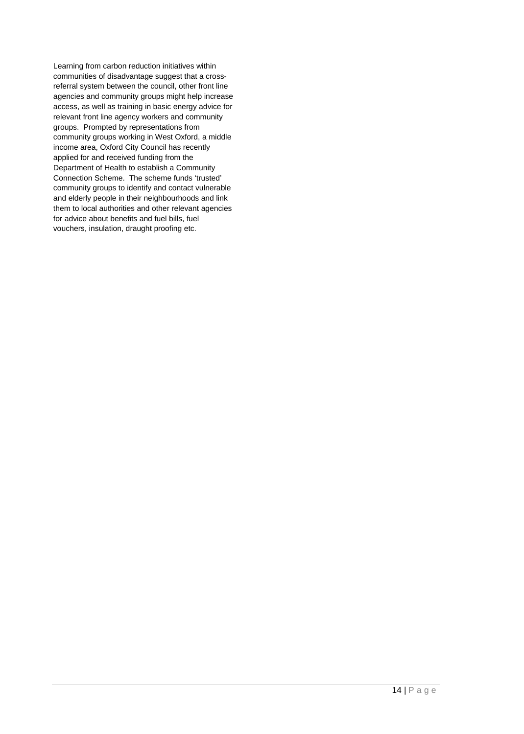Learning from carbon reduction initiatives within communities of disadvantage suggest that a crossreferral system between the council, other front line agencies and community groups might help increase access, as well as training in basic energy advice for relevant front line agency workers and community groups. Prompted by representations from community groups working in West Oxford, a middle income area, Oxford City Council has recently applied for and received funding from the Department of Health to establish a Community Connection Scheme. The scheme funds 'trusted' community groups to identify and contact vulnerable and elderly people in their neighbourhoods and link them to local authorities and other relevant agencies for advice about benefits and fuel bills, fuel vouchers, insulation, draught proofing etc.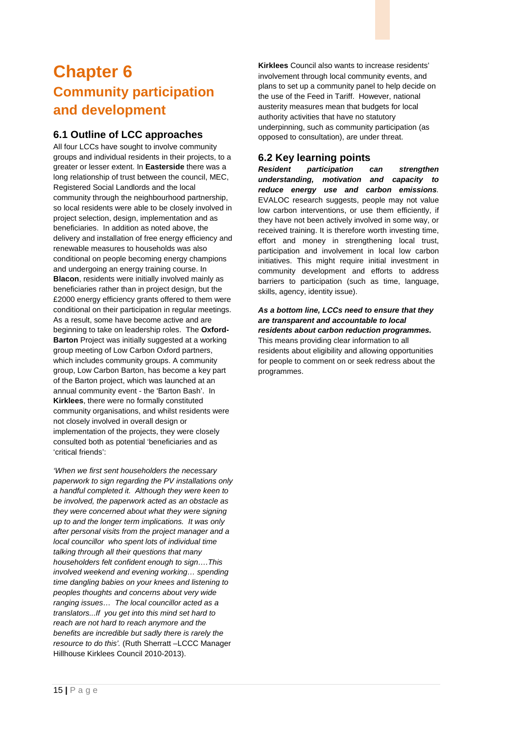## <span id="page-20-0"></span>**Chapter 6 Community participation and development**

#### **6.1 Outline of LCC approaches**

All four LCCs have sought to involve community groups and individual residents in their projects, to a greater or lesser extent. In **Easterside** there was a long relationship of trust between the council, MEC, Registered Social Landlords and the local community through the neighbourhood partnership, so local residents were able to be closely involved in project selection, design, implementation and as beneficiaries. In addition as noted above, the delivery and installation of free energy efficiency and renewable measures to households was also conditional on people becoming energy champions and undergoing an energy training course. In **Blacon**, residents were initially involved mainly as beneficiaries rather than in project design, but the £2000 energy efficiency grants offered to them were conditional on their participation in regular meetings. As a result, some have become active and are beginning to take on leadership roles. The **Oxford-Barton** Project was initially suggested at a working group meeting of Low Carbon Oxford partners, which includes community groups. A community group, Low Carbon Barton, has become a key part of the Barton project, which was launched at an annual community event - the 'Barton Bash'. In **Kirklees**, there were no formally constituted community organisations, and whilst residents were not closely involved in overall design or implementation of the projects, they were closely consulted both as potential 'beneficiaries and as 'critical friends':

*'When we first sent householders the necessary paperwork to sign regarding the PV installations only a handful completed it. Although they were keen to be involved, the paperwork acted as an obstacle as they were concerned about what they were signing up to and the longer term implications. It was only after personal visits from the project manager and a local councillor who spent lots of individual time talking through all their questions that many householders felt confident enough to sign….This involved weekend and evening working… spending time dangling babies on your knees and listening to peoples thoughts and concerns about very wide ranging issues… The local councillor acted as a translators...If you get into this mind set hard to reach are not hard to reach anymore and the benefits are incredible but sadly there is rarely the resource to do this'.* (Ruth Sherratt –LCCC Manager Hillhouse Kirklees Council 2010-2013).

**Kirklees** Council also wants to increase residents' involvement through local community events, and plans to set up a community panel to help decide on the use of the Feed in Tariff. However, national austerity measures mean that budgets for local authority activities that have no statutory underpinning, such as community participation (as opposed to consultation), are under threat.

#### **6.2 Key learning points**

*Resident participation can strengthen understanding, motivation and capacity to reduce energy use and carbon emissions.* EVALOC research suggests, people may not value low carbon interventions, or use them efficiently, if they have not been actively involved in some way, or received training. It is therefore worth investing time, effort and money in strengthening local trust, participation and involvement in local low carbon initiatives. This might require initial investment in community development and efforts to address barriers to participation (such as time, language, skills, agency, identity issue).

#### *As a bottom line, LCCs need to ensure that they are transparent and accountable to local residents about carbon reduction programmes.*

This means providing clear information to all residents about eligibility and allowing opportunities for people to comment on or seek redress about the programmes.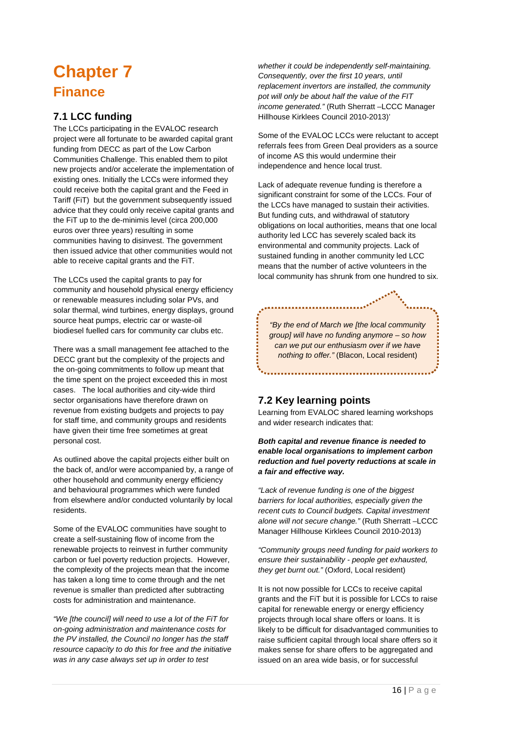## <span id="page-21-0"></span>**Chapter 7 Finance**

### **7.1 LCC funding**

The LCCs participating in the EVALOC research project were all fortunate to be awarded capital grant funding from DECC as part of the Low Carbon Communities Challenge. This enabled them to pilot new projects and/or accelerate the implementation of existing ones. Initially the LCCs were informed they could receive both the capital grant and the Feed in Tariff (FiT) but the government subsequently issued advice that they could only receive capital grants and the FiT up to the de-minimis level (circa 200,000 euros over three years) resulting in some communities having to disinvest. The government then issued advice that other communities would not able to receive capital grants and the FiT.

The LCCs used the capital grants to pay for community and household physical energy efficiency or renewable measures including solar PVs, and solar thermal, wind turbines, energy displays, ground source heat pumps, electric car or waste-oil biodiesel fuelled cars for community car clubs etc.

There was a small management fee attached to the DECC grant but the complexity of the projects and the on-going commitments to follow up meant that the time spent on the project exceeded this in most cases. The local authorities and city-wide third sector organisations have therefore drawn on revenue from existing budgets and projects to pay for staff time, and community groups and residents have given their time free sometimes at great personal cost.

As outlined above the capital projects either built on the back of, and/or were accompanied by, a range of other household and community energy efficiency and behavioural programmes which were funded from elsewhere and/or conducted voluntarily by local residents.

Some of the EVALOC communities have sought to create a self-sustaining flow of income from the renewable projects to reinvest in further community carbon or fuel poverty reduction projects. However, the complexity of the projects mean that the income has taken a long time to come through and the net revenue is smaller than predicted after subtracting costs for administration and maintenance.

*"We [the council] will need to use a lot of the FiT for on-going administration and maintenance costs for the PV installed, the Council no longer has the staff resource capacity to do this for free and the initiative was in any case always set up in order to test* 

*whether it could be independently self-maintaining. Consequently, over the first 10 years, until replacement invertors are installed, the community pot will only be about half the value of the FIT income generated."* (Ruth Sherratt –LCCC Manager Hillhouse Kirklees Council 2010-2013)'

Some of the EVALOC LCCs were reluctant to accept referrals fees from Green Deal providers as a source of income AS this would undermine their independence and hence local trust.

Lack of adequate revenue funding is therefore a significant constraint for some of the LCCs. Four of the LCCs have managed to sustain their activities. But funding cuts, and withdrawal of statutory obligations on local authorities, means that one local authority led LCC has severely scaled back its environmental and community projects. Lack of sustained funding in another community led LCC means that the number of active volunteers in the local community has shrunk from one hundred to six.

*"By the end of March we [the local community group] will have no funding anymore – so how can we put our enthusiasm over if we have nothing to offer."* (Blacon, Local resident)

.....................<sup>...</sup>\*

................................

### **7.2 Key learning points**

Learning from EVALOC shared learning workshops and wider research indicates that:

*Both capital and revenue finance is needed to enable local organisations to implement carbon reduction and fuel poverty reductions at scale in a fair and effective way.* 

*"Lack of revenue funding is one of the biggest barriers for local authorities, especially given the recent cuts to Council budgets. Capital investment alone will not secure change."* (Ruth Sherratt –LCCC Manager Hillhouse Kirklees Council 2010-2013)

*"Community groups need funding for paid workers to ensure their sustainability - people get exhausted, they get burnt out."* (Oxford, Local resident)

It is not now possible for LCCs to receive capital grants and the FiT but it is possible for LCCs to raise capital for renewable energy or energy efficiency projects through local share offers or loans. It is likely to be difficult for disadvantaged communities to raise sufficient capital through local share offers so it makes sense for share offers to be aggregated and issued on an area wide basis, or for successful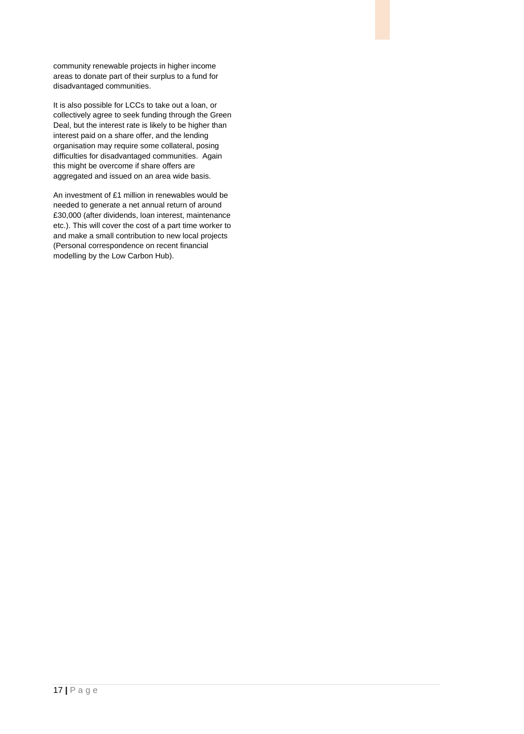community renewable projects in higher income areas to donate part of their surplus to a fund for disadvantaged communities.

It is also possible for LCCs to take out a loan, or collectively agree to seek funding through the Green Deal, but the interest rate is likely to be higher than interest paid on a share offer, and the lending organisation may require some collateral, posing difficulties for disadvantaged communities. Again this might be overcome if share offers are aggregated and issued on an area wide basis.

An investment of £1 million in renewables would be needed to generate a net annual return of around £30,000 (after dividends, loan interest, maintenance etc.). This will cover the cost of a part time worker to and make a small contribution to new local projects (Personal correspondence on recent financial modelling by the Low Carbon Hub).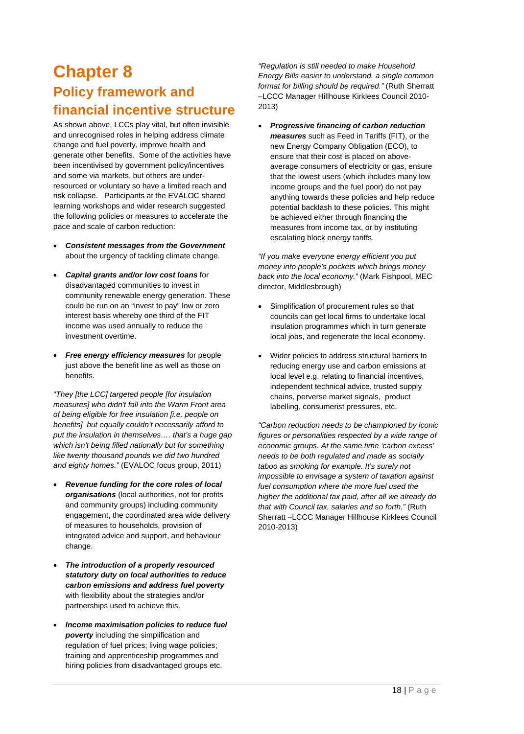### <span id="page-23-0"></span>**Chapter 8 Policy framework and financial incentive structure**

As shown above, LCCs play vital, but often invisible and unrecognised roles in helping address climate change and fuel poverty, improve health and generate other benefits. Some of the activities have been incentivised by government policy/incentives and some via markets, but others are underresourced or voluntary so have a limited reach and risk collapse. Participants at the EVALOC shared learning workshops and wider research suggested the following policies or measures to accelerate the pace and scale of carbon reduction:

- *Consistent messages from the Government* about the urgency of tackling climate change.
- *Capital grants and/or low cost loans* for disadvantaged communities to invest in community renewable energy generation. These could be run on an "invest to pay" low or zero interest basis whereby one third of the FIT income was used annually to reduce the investment overtime.
- *Free energy efficiency measures* for people just above the benefit line as well as those on benefits.

*"They [the LCC] targeted people [for insulation measures] who didn't fall into the Warm Front area of being eligible for free insulation [i.e. people on benefits] but equally couldn't necessarily afford to put the insulation in themselves…. that's a huge gap which isn't being filled nationally but for something like twenty thousand pounds we did two hundred and eighty homes."* (EVALOC focus group, 2011)

- *Revenue funding for the core roles of local organisations* (local authorities, not for profits and community groups) including community engagement, the coordinated area wide delivery of measures to households, provision of integrated advice and support, and behaviour change.
- *The introduction of a properly resourced statutory duty on local authorities to reduce carbon emissions and address fuel poverty* with flexibility about the strategies and/or partnerships used to achieve this.
- *Income maximisation policies to reduce fuel poverty* including the simplification and regulation of fuel prices; living wage policies; training and apprenticeship programmes and hiring policies from disadvantaged groups etc.

*"Regulation is still needed to make Household Energy Bills easier to understand, a single common format for billing should be required."* (Ruth Sherratt –LCCC Manager Hillhouse Kirklees Council 2010- 2013)

• *Progressive financing of carbon reduction measures* such as Feed in Tariffs (FIT), or the new Energy Company Obligation (ECO), to ensure that their cost is placed on aboveaverage consumers of electricity or gas, ensure that the lowest users (which includes many low income groups and the fuel poor) do not pay anything towards these policies and help reduce potential backlash to these policies. This might be achieved either through financing the measures from income tax, or by instituting escalating block energy tariffs.

*"If you make everyone energy efficient you put money into people's pockets which brings money back into the local economy."* (Mark Fishpool, MEC director, Middlesbrough)

- Simplification of procurement rules so that councils can get local firms to undertake local insulation programmes which in turn generate local jobs, and regenerate the local economy.
- Wider policies to address structural barriers to reducing energy use and carbon emissions at local level e.g. relating to financial incentives, independent technical advice, trusted supply chains, perverse market signals, product labelling, consumerist pressures, etc.

*"Carbon reduction needs to be championed by iconic figures or personalities respected by a wide range of economic groups. At the same time 'carbon excess' needs to be both regulated and made as socially taboo as smoking for example. It's surely not impossible to envisage a system of taxation against fuel consumption where the more fuel used the higher the additional tax paid, after all we already do that with Council tax, salaries and so forth."* (Ruth Sherratt –LCCC Manager Hillhouse Kirklees Council 2010-2013)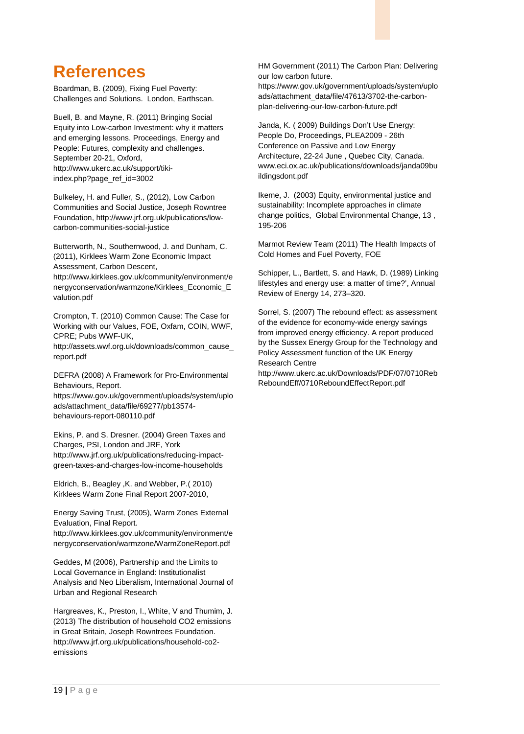### <span id="page-24-0"></span>**References**

Boardman, B. (2009), Fixing Fuel Poverty: Challenges and Solutions. London, Earthscan.

Buell, B. and Mayne, R. (2011) Bringing Social Equity into Low-carbon Investment: why it matters and emerging lessons. Proceedings, Energy and People: Futures, complexity and challenges. September 20-21, Oxford, http://www.ukerc.ac.uk/support/tikiindex.php?page\_ref\_id=3002

Bulkeley, H. and Fuller, S., (2012), Low Carbon Communities and Social Justice, Joseph Rowntree Foundation, http://www.jrf.org.uk/publications/lowcarbon-communities-social-justice

Butterworth, N., Southernwood, J. and Dunham, C. (2011), Kirklees Warm Zone Economic Impact Assessment, Carbon Descent,

http://www.kirklees.gov.uk/community/environment/e nergyconservation/warmzone/Kirklees\_Economic\_E valution.pdf

Crompton, T. (2010) Common Cause: The Case for Working with our Values, FOE, Oxfam, COIN, WWF, CPRE; Pubs WWF-UK,

http://assets.wwf.org.uk/downloads/common\_cause\_ report.pdf

DEFRA (2008) A Framework for Pro-Environmental Behaviours, Report.

https://www.gov.uk/government/uploads/system/uplo ads/attachment\_data/file/69277/pb13574 behaviours-report-080110.pdf

Ekins, P. and S. Dresner. (2004) Green Taxes and Charges, PSI, London and JRF, York http://www.jrf.org.uk/publications/reducing-impactgreen-taxes-and-charges-low-income-households

Eldrich, B., Beagley ,K. and Webber, P.( 2010) Kirklees Warm Zone Final Report 2007-2010,

Energy Saving Trust, (2005), Warm Zones External Evaluation, Final Report.

http://www.kirklees.gov.uk/community/environment/e nergyconservation/warmzone/WarmZoneReport.pdf

Geddes, M (2006), Partnership and the Limits to Local Governance in England: Institutionalist Analysis and Neo Liberalism, International Journal of Urban and Regional Research

Hargreaves, K., Preston, I., White, V and Thumim, J. (2013) The distribution of household CO2 emissions in Great Britain, Joseph Rowntrees Foundation. http://www.jrf.org.uk/publications/household-co2 emissions

HM Government (2011) The Carbon Plan: Delivering our low carbon future.

[https://www.gov.uk/government/uploads/system/uplo](https://www.gov.uk/government/uploads/system/uploads/attachment_data/file/47613/3702-the-carbon-plan-delivering-our-low-carbon-future.pdf) [ads/attachment\\_data/file/47613/3702-the-carbon](https://www.gov.uk/government/uploads/system/uploads/attachment_data/file/47613/3702-the-carbon-plan-delivering-our-low-carbon-future.pdf)[plan-delivering-our-low-carbon-future.pdf](https://www.gov.uk/government/uploads/system/uploads/attachment_data/file/47613/3702-the-carbon-plan-delivering-our-low-carbon-future.pdf)

Janda, K. ( 2009) Buildings Don't Use Energy: People Do, Proceedings, PLEA2009 - 26th Conference on Passive and Low Energy Architecture, 22-24 June , Quebec City, Canada. www.eci.ox.ac.uk/publications/downloads/janda09bu ildingsdont.pdf

Ikeme, J. (2003) Equity, environmental justice and sustainability: Incomplete approaches in climate change politics, Global Environmental Change, 13 , 195-206

Marmot Review Team (2011) The Health Impacts of Cold Homes and Fuel Poverty, FOE

Schipper, L., Bartlett, S. and Hawk, D. (1989) Linking lifestyles and energy use: a matter of time?', Annual Review of Energy 14, 273–320.

Sorrel, S. (2007) The rebound effect: as assessment of the evidence for economy-wide energy savings from improved energy efficiency. A report produced by the Sussex Energy Group for the Technology and Policy Assessment function of the UK Energy Research Centre

[http://www.ukerc.ac.uk/Downloads/PDF/07/0710Reb](http://www.ukerc.ac.uk/Downloads/PDF/07/0710RebReboundEff/0710ReboundEffectReport.pdf) [ReboundEff/0710ReboundEffectReport.pdf](http://www.ukerc.ac.uk/Downloads/PDF/07/0710RebReboundEff/0710ReboundEffectReport.pdf)